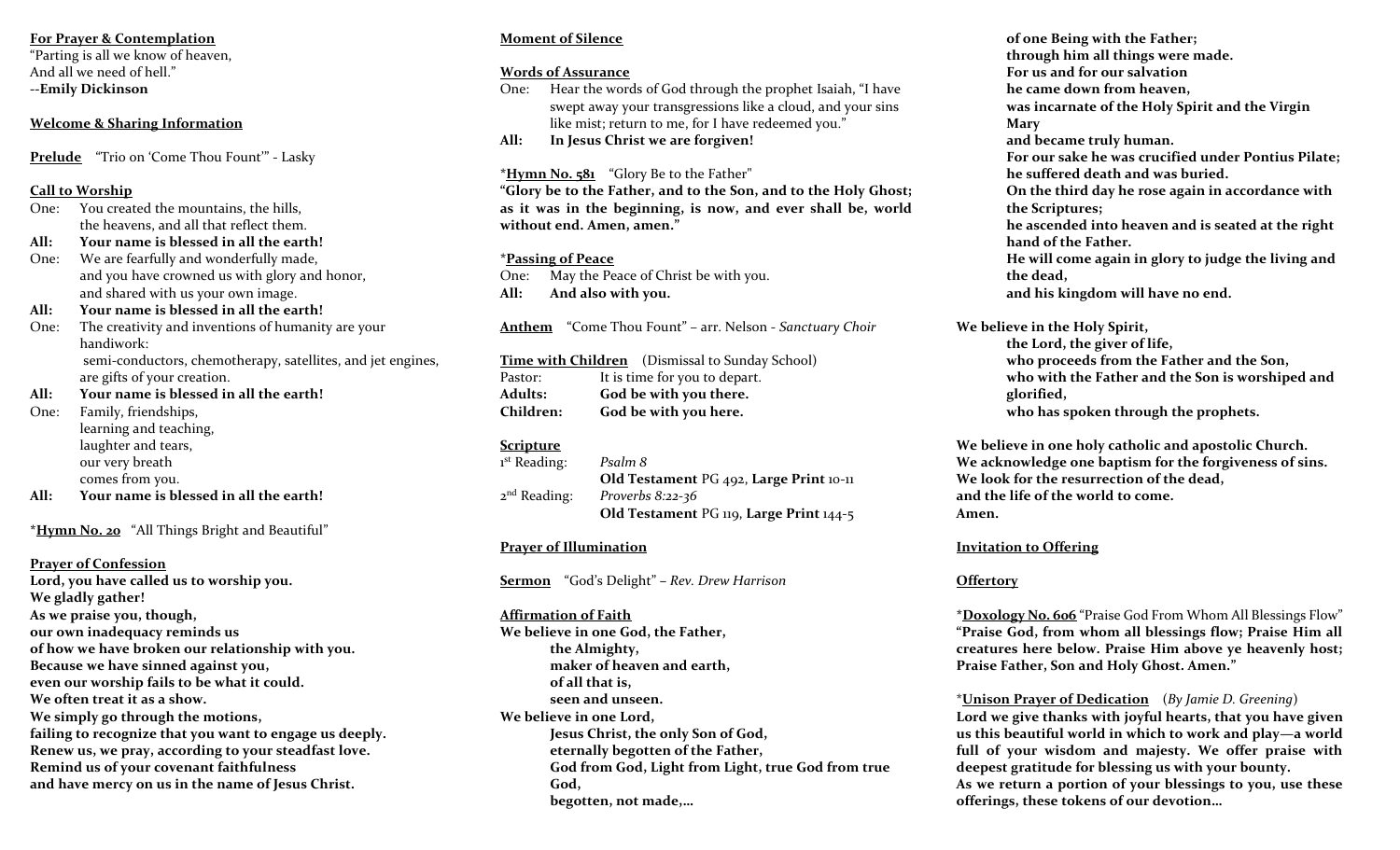# **For Prayer & Contemplation**

"Parting is all we know of heaven, And all we need of hell." **--Emily Dickinson**

# **Welcome & Sharing Information**

**Prelude** "Trio on 'Come Thou Fount'" - Lasky

# **Call to Worship**

- One: You created the mountains, the hills, the heavens, and all that reflect them.
- **All: Your name is blessed in all the earth!**
- One: We are fearfully and wonderfully made, and you have crowned us with glory and honor, and shared with us your own image.
- **All: Your name is blessed in all the earth!**
- One: The creativity and inventions of humanity are your handiwork: semi-conductors, chemotherapy, satellites, and jet engines,

are gifts of your creation.

**All: Your name is blessed in all the earth!**

One: Family, friendships, learning and teaching, laughter and tears, our very breath comes from you.

**All: Your name is blessed in all the earth!**

**\*Hymn No. 20** "All Things Bright and Beautiful"

**Prayer of Confession Lord, you have called us to worship you. We gladly gather! As we praise you, though, our own inadequacy reminds us of how we have broken our relationship with you. Because we have sinned against you, even our worship fails to be what it could. We often treat it as a show. We simply go through the motions, failing to recognize that you want to engage us deeply. Renew us, we pray, according to your steadfast love. Remind us of your covenant faithfulness and have mercy on us in the name of Jesus Christ.** 

# **Moment of Silence**

## **Words of Assurance**

- One: Hear the words of God through the prophet Isaiah, "I have swept away your transgressions like a cloud, and your sins like mist; return to me, for I have redeemed you."
- **All: In Jesus Christ we are forgiven!**

**\*Hymn No. 581** "Glory Be to the Father"

**"Glory be to the Father, and to the Son, and to the Holy Ghost; as it was in the beginning, is now, and ever shall be, world without end. Amen, amen."**

## **\*Passing of Peace**

One: May the Peace of Christ be with you. **All: And also with you.** 

**Anthem** "Come Thou Fount" – arr. Nelson - *Sanctuary Choir*

**Time with Children** (Dismissal to Sunday School) Pastor: It is time for you to depart. **Adults: God be with you there. Children: God be with you here.**

# **Scripture**

1 st Reading: *Psalm 8* **Old Testament** PG 492, **Large Print** 10-11  $2<sup>nd</sup>$  Reading: Proverbs 8:22-36 **Old Testament** PG 119, **Large Print** 144-5

# **Prayer of Illumination**

**Sermon** "God's Delight" **–** *Rev. Drew Harrison*

#### **Affirmation of Faith**

**We believe in one God, the Father, the Almighty, maker of heaven and earth, of all that is, seen and unseen. We believe in one Lord, Jesus Christ, the only Son of God, eternally begotten of the Father, God from God, Light from Light, true God from true God, begotten, not made,…**

**of one Being with the Father; through him all things were made. For us and for our salvation he came down from heaven, was incarnate of the Holy Spirit and the Virgin Mary and became truly human. For our sake he was crucified under Pontius Pilate; he suffered death and was buried. On the third day he rose again in accordance with the Scriptures; he ascended into heaven and is seated at the right hand of the Father. He will come again in glory to judge the living and the dead, and his kingdom will have no end.** 

**We believe in the Holy Spirit,** 

**the Lord, the giver of life, who proceeds from the Father and the Son, who with the Father and the Son is worshiped and glorified, who has spoken through the prophets.** 

**We believe in one holy catholic and apostolic Church. We acknowledge one baptism for the forgiveness of sins. We look for the resurrection of the dead, and the life of the world to come. Amen.** 

# **Invitation to Offering**

# **Offertory**

**\*Doxology No. 606** "Praise God From Whom All Blessings Flow" **"Praise God, from whom all blessings flow; Praise Him all creatures here below. Praise Him above ye heavenly host; Praise Father, Son and Holy Ghost. Amen."**

\***Unison Prayer of Dedication** (*By Jamie D. Greening*) **Lord we give thanks with joyful hearts, that you have given us this beautiful world in which to work and play—a world full of your wisdom and majesty. We offer praise with** 

**deepest gratitude for blessing us with your bounty. As we return a portion of your blessings to you, use these offerings, these tokens of our devotion…**